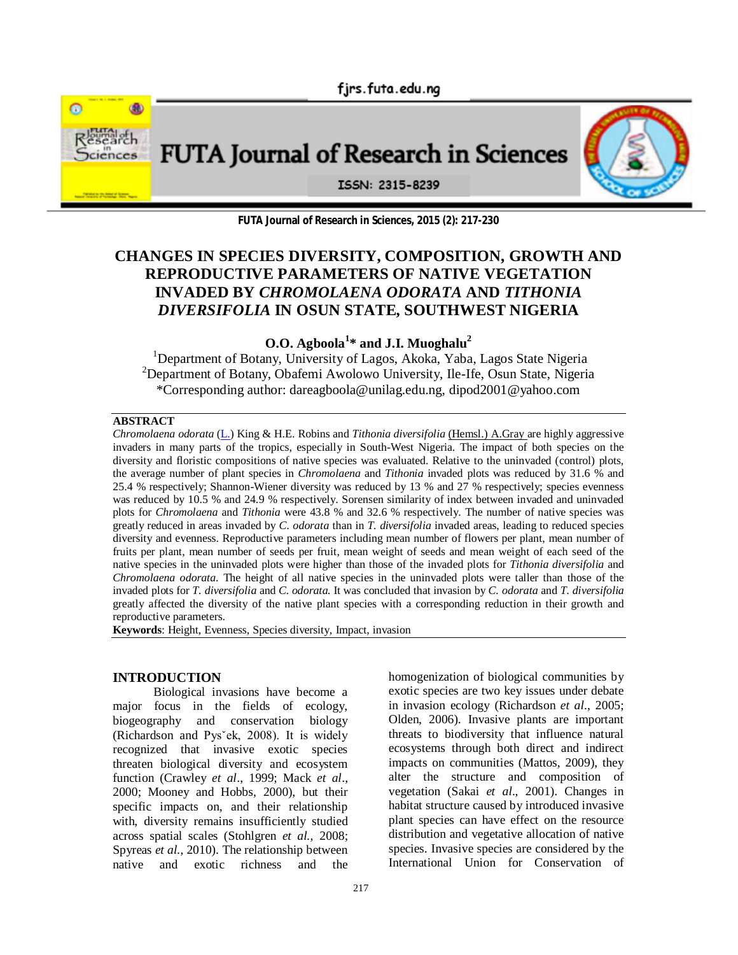

FUTA Journal of Research in Sciences



ISSN: 2315-8239

**FUTA Journal of Research in Sciences, 2015 (2): 217-230**

# **CHANGES IN SPECIES DIVERSITY, COMPOSITION, GROWTH AND REPRODUCTIVE PARAMETERS OF NATIVE VEGETATION INVADED BY** *CHROMOLAENA ODORATA* **AND** *TITHONIA DIVERSIFOLIA* **IN OSUN STATE, SOUTHWEST NIGERIA**

**O.O. Agboola<sup>1</sup> \* and J.I. Muoghalu<sup>2</sup>**

<sup>1</sup>Department of Botany, University of Lagos, Akoka, Yaba, Lagos State Nigeria <sup>2</sup>Department of Botany, Obafemi Awolowo University, Ile-Ife, Osun State, Nigeria \*Corresponding author: dareagboola@unilag.edu.ng, dipod2001@yahoo.com

#### **ABSTRACT**

*Chromolaena odorata* (L.) King & H.E. Robins and *Tithonia diversifolia* (Hemsl.) A.Gray are highly aggressive invaders in many parts of the tropics, especially in South-West Nigeria. The impact of both species on the diversity and floristic compositions of native species was evaluated. Relative to the uninvaded (control) plots, the average number of plant species in *Chromolaena* and *Tithonia* invaded plots was reduced by 31.6 % and 25.4 % respectively; Shannon-Wiener diversity was reduced by 13 % and 27 % respectively; species evenness was reduced by 10.5 % and 24.9 % respectively. Sorensen similarity of index between invaded and uninvaded plots for *Chromolaena* and *Tithonia* were 43.8 % and 32.6 % respectively. The number of native species was greatly reduced in areas invaded by *C. odorata* than in *T. diversifolia* invaded areas, leading to reduced species diversity and evenness. Reproductive parameters including mean number of flowers per plant, mean number of fruits per plant, mean number of seeds per fruit, mean weight of seeds and mean weight of each seed of the native species in the uninvaded plots were higher than those of the invaded plots for *Tithonia diversifolia* and *Chromolaena odorata*. The height of all native species in the uninvaded plots were taller than those of the invaded plots for *T. diversifolia* and *C. odorata.* It was concluded that invasion by *C. odorata* and *T. diversifolia* greatly affected the diversity of the native plant species with a corresponding reduction in their growth and reproductive parameters.

**Keywords**: Height, Evenness, Species diversity, Impact, invasion

# **INTRODUCTION**

Biological invasions have become a major focus in the fields of ecology, biogeography and conservation biology (Richardson and Pysˇek, 2008). It is widely recognized that invasive exotic species threaten biological diversity and ecosystem function (Crawley *et al*., 1999; Mack *et al*., 2000; Mooney and Hobbs, 2000), but their specific impacts on, and their relationship with, diversity remains insufficiently studied across spatial scales (Stohlgren *et al.,* 2008; Spyreas *et al.,* 2010). The relationship between native and exotic richness and the

homogenization of biological communities by exotic species are two key issues under debate in invasion ecology (Richardson *et al*., 2005; Olden, 2006). Invasive plants are important threats to biodiversity that influence natural ecosystems through both direct and indirect impacts on communities (Mattos, 2009), they alter the structure and composition of vegetation (Sakai *et al*., 2001). Changes in habitat structure caused by introduced invasive plant species can have effect on the resource distribution and vegetative allocation of native species. Invasive species are considered by the International Union for Conservation of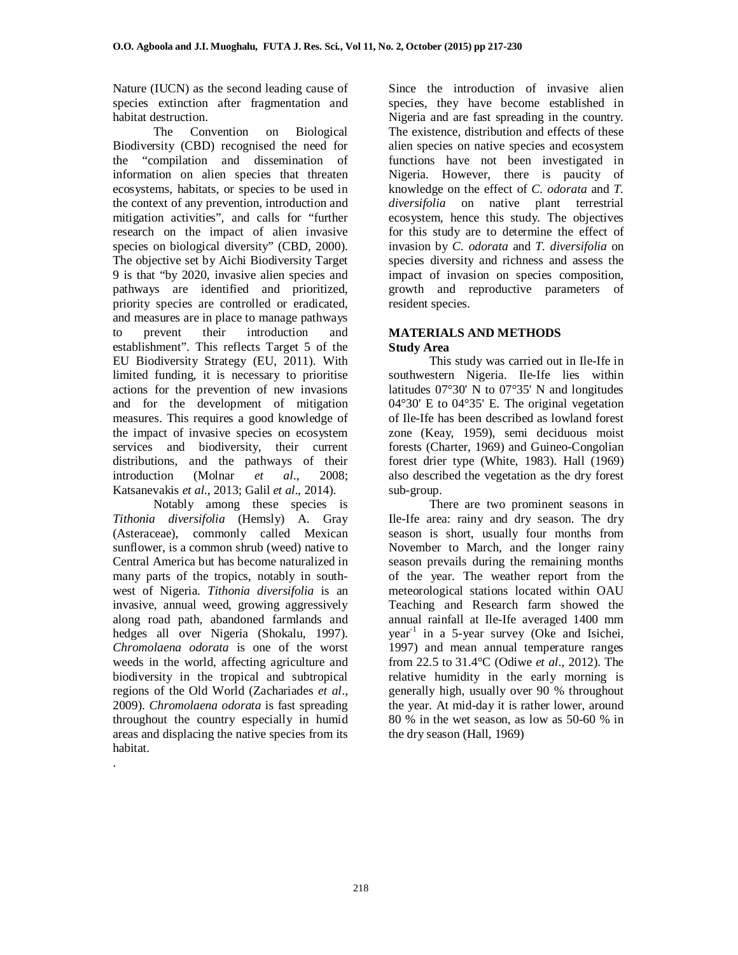Nature (IUCN) as the second leading cause of species extinction after fragmentation and habitat destruction.

The Convention on Biological Biodiversity (CBD) recognised the need for the "compilation and dissemination of information on alien species that threaten ecosystems, habitats, or species to be used in the context of any prevention, introduction and mitigation activities", and calls for "further research on the impact of alien invasive species on biological diversity" (CBD, 2000). The objective set by Aichi Biodiversity Target 9 is that "by 2020, invasive alien species and pathways are identified and prioritized, priority species are controlled or eradicated, and measures are in place to manage pathways to prevent their introduction and establishment". This reflects Target 5 of the EU Biodiversity Strategy (EU, 2011). With limited funding, it is necessary to prioritise actions for the prevention of new invasions and for the development of mitigation measures. This requires a good knowledge of the impact of invasive species on ecosystem services and biodiversity, their current distributions, and the pathways of their introduction (Molnar *et al*., 2008; Katsanevakis *et al*., 2013; Galil *et al*., 2014).

Notably among these species is *Tithonia diversifolia* (Hemsly) A. Gray (Asteraceae), commonly called Mexican sunflower, is a common shrub (weed) native to Central America but has become naturalized in many parts of the tropics, notably in southwest of Nigeria. *Tithonia diversifolia* is an invasive, annual weed, growing aggressively along road path, abandoned farmlands and hedges all over Nigeria (Shokalu, 1997). *Chromolaena odorata* is one of the worst weeds in the world, affecting agriculture and biodiversity in the tropical and subtropical regions of the Old World (Zachariades *et al*., 2009). *Chromolaena odorata* is fast spreading throughout the country especially in humid areas and displacing the native species from its habitat.

.

Since the introduction of invasive alien species, they have become established in Nigeria and are fast spreading in the country. The existence, distribution and effects of these alien species on native species and ecosystem functions have not been investigated in Nigeria. However, there is paucity of knowledge on the effect of *C. odorata* and *T. diversifolia* on native plant terrestrial ecosystem, hence this study. The objectives for this study are to determine the effect of invasion by *C. odorata* and *T. diversifolia* on species diversity and richness and assess the impact of invasion on species composition, growth and reproductive parameters of resident species.

## **MATERIALS AND METHODS Study Area**

This study was carried out in Ile-Ife in southwestern Nigeria. Ile-Ife lies within latitudes 07°30' N to 07°35' N and longitudes 04°30' E to 04°35' E. The original vegetation of Ile-Ife has been described as lowland forest zone (Keay, 1959), semi deciduous moist forests (Charter, 1969) and Guineo-Congolian forest drier type (White, 1983). Hall (1969) also described the vegetation as the dry forest sub-group.

There are two prominent seasons in Ile-Ife area: rainy and dry season. The dry season is short, usually four months from November to March, and the longer rainy season prevails during the remaining months of the year. The weather report from the meteorological stations located within OAU Teaching and Research farm showed the annual rainfall at Ile-Ife averaged 1400 mm year-1 in a 5-year survey (Oke and Isichei, 1997) and mean annual temperature ranges from 22.5 to 31.4°C (Odiwe *et al*., 2012). The relative humidity in the early morning is generally high, usually over 90 % throughout the year. At mid-day it is rather lower, around 80 % in the wet season, as low as 50-60 % in the dry season (Hall, 1969)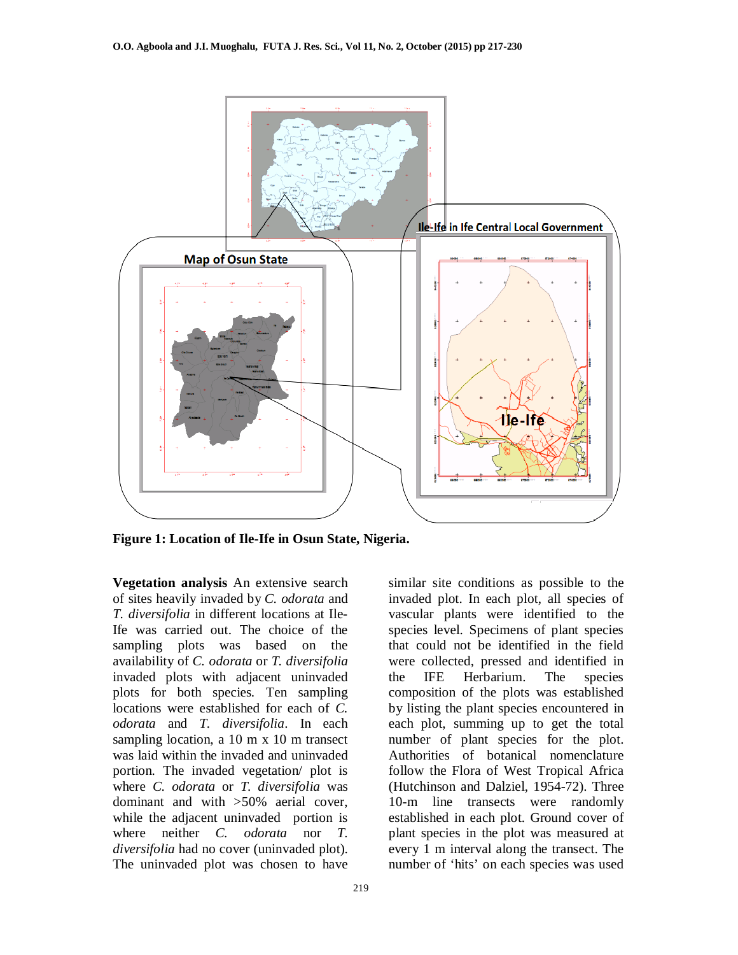

**Figure 1: Location of Ile-Ife in Osun State, Nigeria.**

**Vegetation analysis** An extensive search of sites heavily invaded by *C. odorata* and *T. diversifolia* in different locations at Ile-Ife was carried out. The choice of the sampling plots was based on the availability of *C. odorata* or *T. diversifolia* invaded plots with adjacent uninvaded plots for both species. Ten sampling locations were established for each of *C. odorata* and *T. diversifolia*. In each sampling location, a 10 m x 10 m transect was laid within the invaded and uninvaded portion. The invaded vegetation/ plot is where *C. odorata* or *T. diversifolia* was dominant and with >50% aerial cover, while the adjacent uninvaded portion is where neither *C. odorata* nor *T. diversifolia* had no cover (uninvaded plot). The uninvaded plot was chosen to have

similar site conditions as possible to the invaded plot. In each plot, all species of vascular plants were identified to the species level. Specimens of plant species that could not be identified in the field were collected, pressed and identified in the IFE Herbarium. The species composition of the plots was established by listing the plant species encountered in each plot, summing up to get the total number of plant species for the plot. Authorities of botanical nomenclature follow the Flora of West Tropical Africa (Hutchinson and Dalziel, 1954-72). Three 10-m line transects were randomly established in each plot. Ground cover of plant species in the plot was measured at every 1 m interval along the transect. The number of 'hits' on each species was used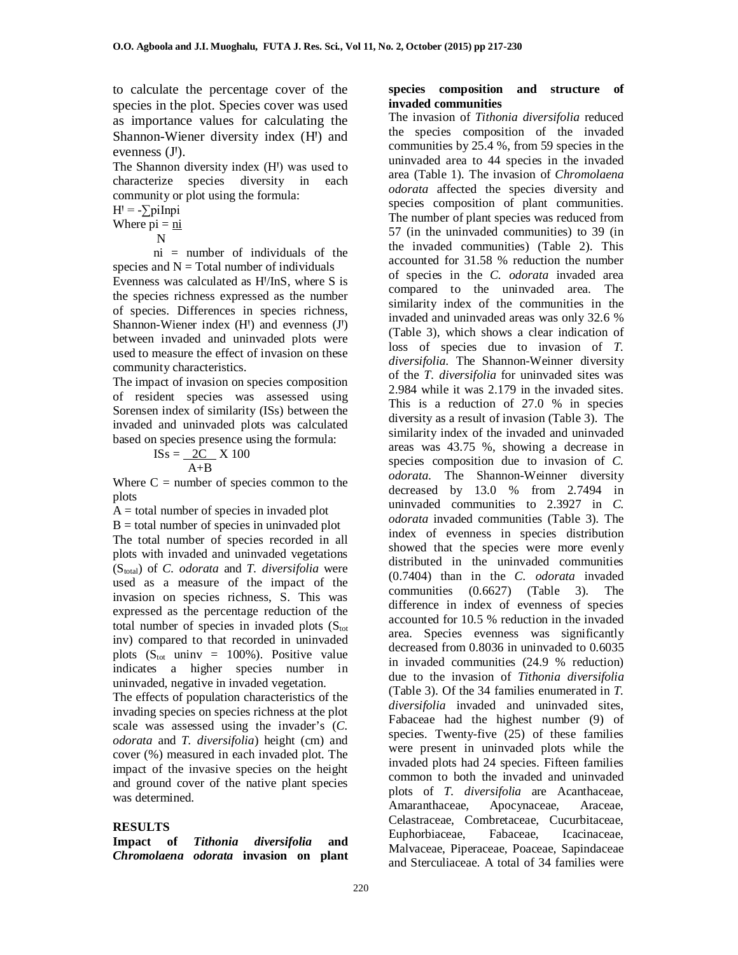to calculate the percentage cover of the species in the plot. Species cover was used as importance values for calculating the Shannon-Wiener diversity index (H<sup>I</sup>) and evenness (J').

The Shannon diversity index (H<sup>I</sup>) was used to characterize species diversity in each community or plot using the formula:

 $H' = -\sum \text{pi} \ln \text{pi}$ 

Where 
$$
\overrightarrow{pi} = \frac{\overrightarrow{n}}{}
$$

N

ni = number of individuals of the species and  $N = Total number of individuals$ 

Evenness was calculated as HꞋ/InS, where S is the species richness expressed as the number of species. Differences in species richness, Shannon-Wiener index  $(H<sup>1</sup>)$  and evenness  $(J<sup>1</sup>)$ between invaded and uninvaded plots were used to measure the effect of invasion on these community characteristics.

The impact of invasion on species composition of resident species was assessed using Sorensen index of similarity (ISs) between the invaded and uninvaded plots was calculated based on species presence using the formula:

$$
ISS = \frac{2C}{A+B} \times 100
$$

Where  $C =$  number of species common to the plots

 $A =$  total number of species in invaded plot  $B =$  total number of species in uninvaded plot The total number of species recorded in all plots with invaded and uninvaded vegetations (Stotal) of *C. odorata* and *T. diversifolia* were used as a measure of the impact of the invasion on species richness, S. This was expressed as the percentage reduction of the total number of species in invaded plots  $(S<sub>tot</sub>)$ inv) compared to that recorded in uninvaded plots  $(S<sub>tot</sub>$  uninv = 100%). Positive value indicates a higher species number in uninvaded, negative in invaded vegetation.

The effects of population characteristics of the invading species on species richness at the plot scale was assessed using the invader's (*C. odorata* and *T. diversifolia*) height (cm) and cover (%) measured in each invaded plot. The impact of the invasive species on the height and ground cover of the native plant species was determined.

#### **RESULTS**

**Impact of** *Tithonia diversifolia* **and**  *Chromolaena odorata* **invasion on plant** 

#### **species composition and structure of invaded communities**

The invasion of *Tithonia diversifolia* reduced the species composition of the invaded communities by 25.4 %, from 59 species in the uninvaded area to 44 species in the invaded area (Table 1). The invasion of *Chromolaena odorata* affected the species diversity and species composition of plant communities. The number of plant species was reduced from 57 (in the uninvaded communities) to 39 (in the invaded communities) (Table 2). This accounted for 31.58 % reduction the number of species in the *C. odorata* invaded area compared to the uninvaded area. The similarity index of the communities in the invaded and uninvaded areas was only 32.6 % (Table 3), which shows a clear indication of loss of species due to invasion of *T. diversifolia*. The Shannon-Weinner diversity of the *T. diversifolia* for uninvaded sites was 2.984 while it was 2.179 in the invaded sites. This is a reduction of 27.0 % in species diversity as a result of invasion (Table 3). The similarity index of the invaded and uninvaded areas was 43.75 %, showing a decrease in species composition due to invasion of *C. odorata*. The Shannon-Weinner diversity decreased by 13.0 % from 2.7494 in uninvaded communities to 2.3927 in *C. odorata* invaded communities (Table 3). The index of evenness in species distribution showed that the species were more evenly distributed in the uninvaded communities (0.7404) than in the *C. odorata* invaded communities (0.6627) (Table 3). The difference in index of evenness of species accounted for 10.5 % reduction in the invaded area. Species evenness was significantly decreased from 0.8036 in uninvaded to 0.6035 in invaded communities (24.9 % reduction) due to the invasion of *Tithonia diversifolia* (Table 3). Of the 34 families enumerated in *T. diversifolia* invaded and uninvaded sites, Fabaceae had the highest number (9) of species. Twenty-five (25) of these families were present in uninvaded plots while the invaded plots had 24 species. Fifteen families common to both the invaded and uninvaded plots of *T. diversifolia* are Acanthaceae, Amaranthaceae, Apocynaceae, Araceae, Celastraceae, Combretaceae, Cucurbitaceae, Euphorbiaceae, Fabaceae, Icacinaceae, Malvaceae, Piperaceae, Poaceae, Sapindaceae and Sterculiaceae. A total of 34 families were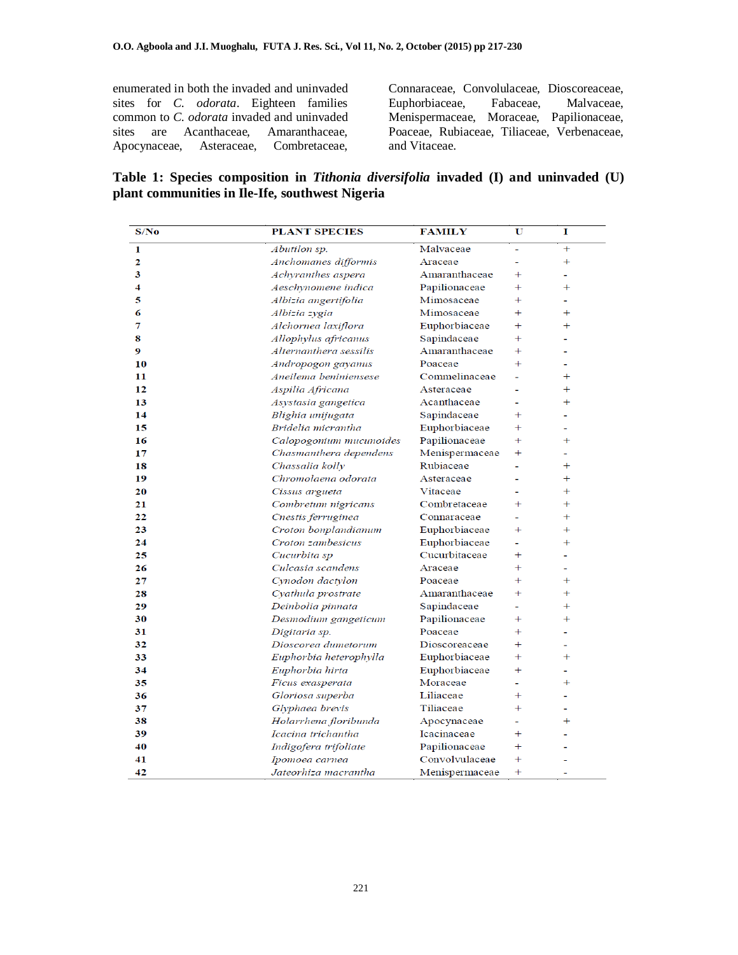enumerated in both the invaded and uninvaded sites for *C. odorata*. Eighteen families common to *C. odorata* invaded and uninvaded sites are Acanthaceae, Amaranthaceae, Apocynaceae, Asteraceae, Combretaceae, Connaraceae, Convolulaceae, Dioscoreaceae, Euphorbiaceae, Menispermaceae, Moraceae, Papilionaceae, Poaceae, Rubiaceae, Tiliaceae, Verbenaceae, and Vitaceae.

|  | Table 1: Species composition in Tithonia diversifolia invaded (I) and uninvaded (U) |  |  |  |  |
|--|-------------------------------------------------------------------------------------|--|--|--|--|
|  | plant communities in Ile-Ife, southwest Nigeria                                     |  |  |  |  |

| S/No | <b>PLANT SPECIES</b>    | <b>FAMILY</b>  | U              | 1                        |
|------|-------------------------|----------------|----------------|--------------------------|
| 1    | Abutilon sp.            | Malvaceae      | $\equiv$       | $^{+}$                   |
| 2    | Anchomanes difformis    | Araceae        |                | $^{+}$                   |
| 3    | Achyranthes aspera      | Amaranthaceae  | $\pm$          | ۰                        |
| 4    | Aeschynomene indica     | Papilionaceae  | $+$            | $+$                      |
| 5    | Albizia angertifolia    | Mimosaceae     | $+$            |                          |
| 6    | Albizia zygia           | Mimosaceae     | $+$            | $^{+}$                   |
| 7    | Alchornea laxiflora     | Euphorbiaceae  | $+$            | $+$                      |
| 8    | Allophylus africanus    | Sapindaceae    | $\pm$          |                          |
| 9    | Alternanthera sessilis  | Amaranthaceae  | $+$            |                          |
| 10   | Andropogon gayanus      | Poaceae        | $\overline{+}$ | ÷.                       |
| 11   | Aneilema beniniensese   | Commelinaceae  | ٠              | $\overline{+}$           |
| 12   | Aspilia Africana        | Asteraceae     |                | $^{+}$                   |
| 13   | Asystasia gangetica     | Acanthaceae    |                | $^{+}$                   |
| 14   | Blighia unijugata       | Sapindaceae    | $\mathrm{+}$   |                          |
| 15   | Bridelia micrantha      | Euphorbiaceae  | $^{+}$         |                          |
| 16   | Calopogonium mucunoides | Papilionaceae  | $+$            | $+$                      |
| 17   | Chasmanthera dependens  | Menispermaceae | $+$            | ä,                       |
| 18   | Chassalia kolly         | Rubiaceae      |                | $^{+}$                   |
| 19   | Chromolaena odorata     | Asteraceae     |                | $\ddot{}$                |
| 20   | Cissus argueta          | Vitaceae       |                | $^{+}$                   |
| 21   | Combretum nigricans     | Combretaceae   | $\pm$          | $^{+}$                   |
| 22   | Cnestis ferruginea      | Connaraceae    |                | $^{+}$                   |
| 23   | Croton bonplandianum    | Euphorbiaceae  | $^{+}$         | $^{+}$                   |
| 24   | Croton zambesicus       | Euphorbiaceae  |                | $^{+}$                   |
| 25   | Cucurbita sp            | Cucurbitaceae  | $\mathrm{+}$   |                          |
| 26   | Culcasia scandens       | Araceae        | $\pm$          |                          |
| 27   | Cynodon dactylon        | Poaceae        | $^{+}$         | $^{+}$                   |
| 28   | Cyathula prostrate      | Amaranthaceae  | $+$            | $^{+}$                   |
| 29   | Deinbolia pinnata       | Sapindaceae    |                | $^{+}$                   |
| 30   | Desmodium gangeticum    | Papilionaceae  | $^{+}$         | $^{+}$                   |
| 31   | Digitaria sp.           | Poaceae        | $+$            |                          |
| 32   | Dioscorea dumetorum     | Dioscoreaceae  | $\pm$          | $\overline{\phantom{a}}$ |
| 33   | Euphorbia heterophylla  | Euphorbiaceae  | $^{+}$         | $^{+}$                   |
| 34   | Euphorbia hirta         | Euphorbiaceae  | $+$            | $\overline{\phantom{a}}$ |
| 35   | Ficus exasperata        | Moraceae       |                | $\overline{+}$           |
| 36   | Gloriosa superba        | Liliaceae      | $+$            |                          |
| 37   | Glyphaea brevis         | Tiliaceae      | $+$            |                          |
| 38   | Holarrhena floribunda   | Apocynaceae    |                | $^{+}$                   |
| 39   | Icacina trichantha      | Icacinaceae    | $^{+}$         |                          |
| 40   | Indigofera trifoliate   | Papilionaceae  | $\overline{+}$ |                          |
| 41   | Ipomoea carnea          | Convolvulaceae | $\ddot{}$      |                          |
| 42   | Jateorhiza macrantha    | Menispermaceae | $+$            | ÷.                       |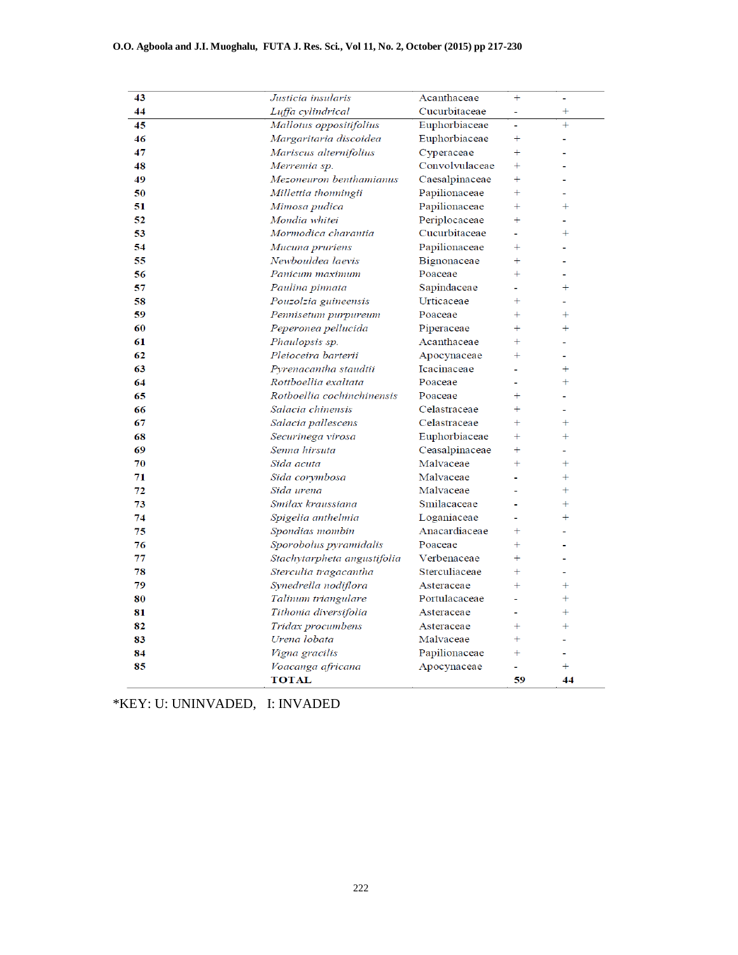#### **O.O. Agboola and J.I. Muoghalu, FUTA J. Res. Sci., Vol 11, No. 2, October (2015) pp 217-230**

| 43 | Justicia insularis          | Acanthaceae    | $+$       | ÷         |
|----|-----------------------------|----------------|-----------|-----------|
| 44 | Luffa cylindrical           | Cucurbitaceae  |           | $\ddag$   |
| 45 | Mallotus oppositifolius     | Euphorbiaceae  |           | $\ddot{}$ |
| 46 | Margaritaria discoidea      | Euphorbiaceae  | $\ddot{}$ | ۳         |
| 47 | Mariscus alternifolius      | Cyperaceae     | $+$       |           |
| 48 | Merremia sp.                | Convolvulaceae | $+$       |           |
| 49 | Mezoneuron benthamianus     | Caesalpinaceae | $+$       |           |
| 50 | Millettia thonningii        | Papilionaceae  | $+$       |           |
| 51 | Mimosa pudica               | Papilionaceae  | $+$       | $+$       |
| 52 | Mondia whitei               | Periplocaceae  | $+$       |           |
| 53 | Mormodica charantia         | Cucurbitaceae  |           | $^{+}$    |
| 54 | Mucuna pruriens             | Papilionaceae  | $+$       |           |
| 55 | Newbouldea laevis           | Bignonaceae    | $+$       |           |
| 56 | Panicum maximum             | Poaceae        | $+$       |           |
| 57 | Paulina pinnata             | Sapindaceae    |           | $+$       |
| 58 | Pouzolzia guineensis        | Urticaceae     | $\ddot{}$ |           |
| 59 | Pennisetum purpureum        | Poaceae        | $^{+}$    | $^{+}$    |
| 60 | Peperonea pellucida         | Piperaceae     | $^{+}$    | $^{+}$    |
| 61 | Phaulopsis sp.              | Acanthaceae    | $\ddot{}$ |           |
| 62 | Pleioceira barterii         | Apocynaceae    | $\ddot{}$ | ä,        |
| 63 | Pyrenacantha staudtii       | Icacinaceae    |           | $^{+}$    |
| 64 | Rottboellia exaltata        | Poaceae        |           | $^{+}$    |
| 65 | Rotboellia cochinchinensis  | Poaceae        | $\pm$     |           |
| 66 | Salacia chinensis           | Celastraceae   | $^{+}$    |           |
| 67 | Salacia pallescens          | Celastraceae   | $^{+}$    | $^{+}$    |
| 68 | Securinega virosa           | Euphorbiaceae  | $+$       | $\ddot{}$ |
| 69 | Senna hirsuta               | Ceasalpinaceae | $^{+}$    |           |
| 70 | Sida acuta                  | Malvaceae      | $\ddot{}$ | $^{+}$    |
| 71 | Sida corymbosa              | Malvaceae      |           | $^{+}$    |
| 72 | Sida urena                  | Malvaceae      |           | $+$       |
| 73 | Smilax kraussiana           | Smilacaceae    |           | $+$       |
| 74 | Spigelia anthelmia          | Loganiaceae    |           | $\ddot{}$ |
| 75 | Spondias mombin             | Anacardiaceae  | $+$       |           |
| 76 | Sporobolus pyramidalis      | Poaceae        | $+$       |           |
| 77 | Stachytarpheta angustifolia | Verbenaceae    | $+$       |           |
| 78 | Sterculia tragacantha       | Sterculiaceae  | $+$       | ä,        |
| 79 | Synedrella nodiflora        | Asteraceae     | $+$       | $\ddag$   |
| 80 | Talinum triangulare         | Portulacaceae  |           | $\ddot{}$ |
| 81 | Tithonia diversifolia       | Asteraceae     | ÷.        | $+$       |
| 82 | Tridax procumbens           | Asteraceae     | $+$       | $+$       |
| 83 | Urena lobata                | Malvaceae      | $+$       |           |
| 84 | Vigna gracilis              | Papilionaceae  | $+$       |           |
| 85 | Voacanga africana           | Apocynaceae    |           | $+$       |
|    | <b>TOTAL</b>                |                | 59        | 44        |

\*KEY: U: UNINVADED, I: INVADED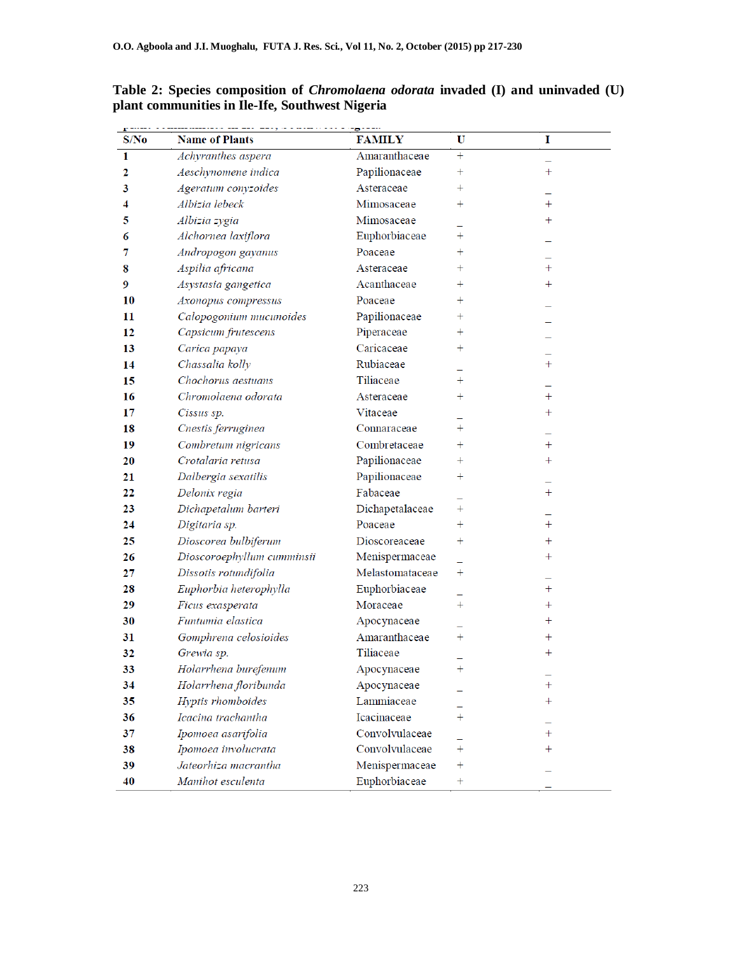| S/No           | <b>Name of Plants</b>      | <b>FAMILY</b>   | U                  | I                |
|----------------|----------------------------|-----------------|--------------------|------------------|
| 1              | Achyranthes aspera         | Amaranthaceae   | $+$                |                  |
| $\overline{2}$ | Aeschynomene indica        | Papilionaceae   | $\boldsymbol{+}$   | $\pm$            |
| 3              | Ageratum conyzoides        | Asteraceae      | $\pm$              |                  |
| 4              | Albizia lebeck             | Mimosaceae      | $\boldsymbol{+}$   | $\ddag$          |
| 5              | Albizia zygia              | Mimosaceae      |                    | $^+$             |
| 6              | Alchornea laxiflora        | Euphorbiaceae   | $\ddag$            |                  |
| 7              | Andropogon gayanus         | Poaceae         | $^+$               |                  |
| 8              | Aspilia africana           | Asteraceae      | $^{+}$             | $+$              |
| 9              | Asystasia gangetica        | Acanthaceae     | $\pm$              | $\pm$            |
| 10             | Axonopus compressus        | Poaceae         | $^{+}$             |                  |
| 11             | Calopogonium mucunoides    | Papilionaceae   | $\boldsymbol{+}$   |                  |
| 12             | Capsicum frutescens        | Piperaceae      | $\hspace{0.1mm} +$ |                  |
| 13             | Carica papaya              | Caricaceae      | $\pm$              |                  |
| 14             | Chassalia kolly            | Rubiaceae       |                    | $\ddag$          |
| 15             | Chochorus aestuans         | Tiliaceae       | $\ddot{}$          |                  |
| 16             | Chromolaena odorata        | Asteraceae      | $\pm$              | $\ddot{}$        |
| 17             | Cissus sp.                 | Vitaceae        |                    | $+$              |
| 18             | Cnestis ferruginea         | Connaraceae     | $^{+}$             |                  |
| 19             | Combretum nigricans        | Combretaceae    | $\pm$              | $\ddag$          |
| 20             | Crotalaria retusa          | Papilionaceae   | $\ddot{}$          | $\pm$            |
| 21             | Dalbergia sexatilis        | Papilionaceae   | $\pm$              |                  |
| 22             | Delonix regia              | Fabaceae        |                    | $+$              |
| 23             | Dichapetalum barteri       | Dichapetalaceae | $\hspace{0.1mm} +$ |                  |
| 24             | Digitaria sp.              | Poaceae         | $\hspace{0.1mm} +$ | $+$              |
| 25             | Dioscorea bulbiferum       | Dioscoreaceae   | $^{+}$             | $\ddot{}$        |
| 26             | Dioscoroephyllum cumminsii | Menispermaceae  |                    | $\pm$            |
| 27             | Dissotis rotundifolia      | Melastomataceae | $^{+}$             |                  |
| 28             | Euphorbia heterophylla     | Euphorbiaceae   |                    | $+$              |
| 29             | Ficus exasperata           | Moraceae        | $\ddot{}$          | $\pm$            |
| 30             | Funtumia elastica          | Apocynaceae     |                    | $\ddag$          |
| 31             | Gomphrena celosioides      | Amaranthaceae   | $^{+}$             | $\pm$            |
| 32             | Grewia sp.                 | Tiliaceae       |                    | $\boldsymbol{+}$ |
| 33             | Holarrhena burefenum       | Apocynaceae     | $^{+}$             |                  |
| 34             | Holarrhena floribunda      | Apocynaceae     |                    | $\ddag$          |
| 35             | Hyptis rhomboides          | Lammiaceae      |                    | $\pm$            |
| 36             | Icacina trachantha         | Icacinaceae     | $^{+}$             |                  |
| 37             | Ipomoea asarifolia         | Convolvulaceae  |                    | $\ddag$          |
| 38             | Ipomoea involucrata        | Convolvulaceae  | $^{+}$             | $\pm$            |
| 39             | Jateorhiza macrantha       | Menispermaceae  | $\ddag$            |                  |
| 40             | Manihot esculenta          | Euphorbiaceae   | $^{+}$             |                  |

**Table 2: Species composition of** *Chromolaena odorata* **invaded (I) and uninvaded (U) plant communities in Ile-Ife, Southwest Nigeria**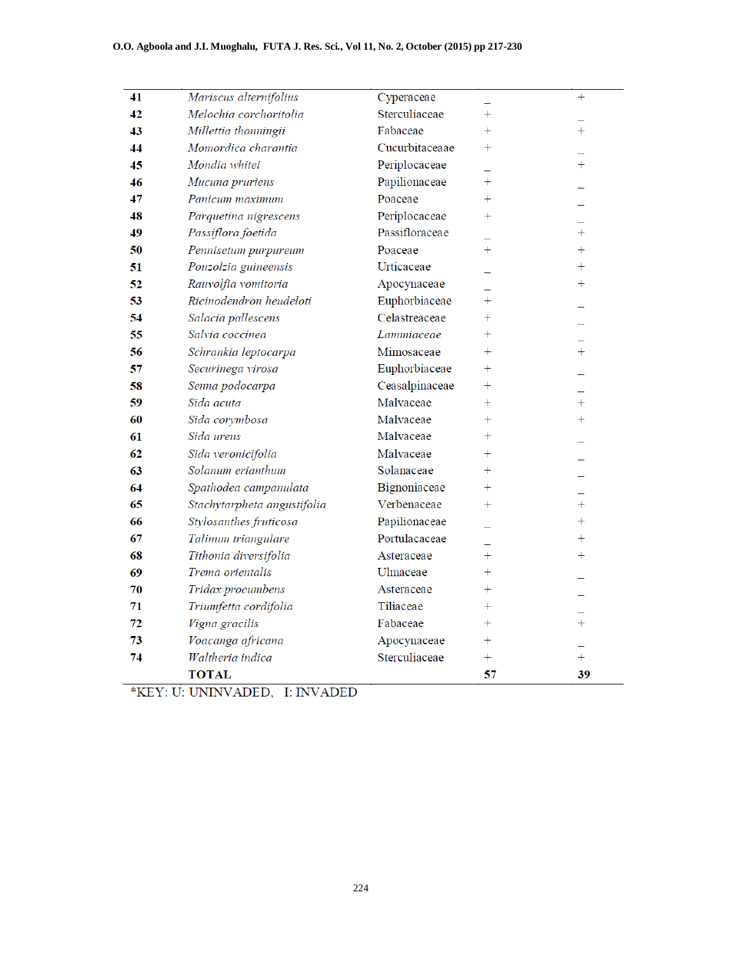| 41 | Mariscus alternifolius      | Cyperaceae     |           | $+$       |
|----|-----------------------------|----------------|-----------|-----------|
| 42 | Melochia corchoritolia      | Sterculiaceae  | $+$       |           |
| 43 | Millettia thonningii        | Fabaceae       | $\ddot{}$ | $\ddot{}$ |
| 44 | Momordica charantia         | Cucurbitaceaae | $^{+}$    |           |
| 45 | Mondia whitei               | Periplocaceae  |           | $+$       |
| 46 | Mucuna pruriens             | Papilionaceae  | $+$       |           |
| 47 | Panicum maximum             | Poaceae        | $^{+}$    |           |
| 48 | Parquetina nigrescens       | Periplocaceae  | $^{+}$    |           |
| 49 | Passiflora foetida          | Passifloraceae |           | $^{+}$    |
| 50 | Pennisetum purpureum        | Poaceae        | $+$       | $\ddot{}$ |
| 51 | Pouzolzia guineensis        | Urticaceae     |           | $\ddag$   |
| 52 | Rauvolfia vomitoria         | Apocynaceae    |           | $\ddag$   |
| 53 | Ricinodendron heudeloti     | Euphorbiaceae  | $^{+}$    |           |
| 54 | Salacia pallescens          | Celastreaceae  | $^{+}$    |           |
| 55 | Salvia coccinea             | Lammiaceae     | $^{+}$    |           |
| 56 | Schrankia leptocarpa        | Mimosaceae     | $^{+}$    | $^{+}$    |
| 57 | Securinega virosa           | Euphorbiaceae  | $^{+}$    |           |
| 58 | Senna podocarpa             | Ceasalpinaceae | $^{+}$    |           |
| 59 | Sida acuta                  | Malvaceae      | $+$       | $+$       |
| 60 | Sida corymbosa              | Malvaceae      | $^{+}$    | $^{+}$    |
| 61 | Sida urens                  | Malvaceae      | $^{+}$    |           |
| 62 | Sida veronicifolia          | Malvaceae      | $^{+}$    |           |
| 63 | Solanum erianthum           | Solanaceae     | $^{+}$    |           |
| 64 | Spathodea campanulata       | Bignoniaceae   | $^{+}$    |           |
| 65 | Stachytarpheta angustifolia | Verbenaceae    | $^{+}$    | $^{+}$    |
| 66 | Stylosanthes fruticosa      | Papilionaceae  |           | $\ddag$   |
| 67 | Talinum triangulare         | Portulacaceae  |           | $^{+}$    |
| 68 | Tithonia diversifolia       | Asteraceae     | $^{+}$    | $^{+}$    |
| 69 | Trema orientalis            | Ulmaceae       | $^{+}$    |           |
| 70 | Tridax procumbens           | Asteraceae     | $^{+}$    |           |
| 71 | Triumfetta cordifolia       | Tiliaceae      | $^{+}$    |           |
| 72 | Vigna gracilis              | Fabaceae       | $^{+}$    | $^{+}$    |
| 73 | Voacanga africana           | Apocynaceae    | $+$       |           |
| 74 | Waltheria indica            | Sterculiaceae  | $\ddot{}$ | $^{+}$    |
|    | <b>TOTAL</b>                |                | 57        | 39        |

\*KEY: U: UNINVADED, I: INVADED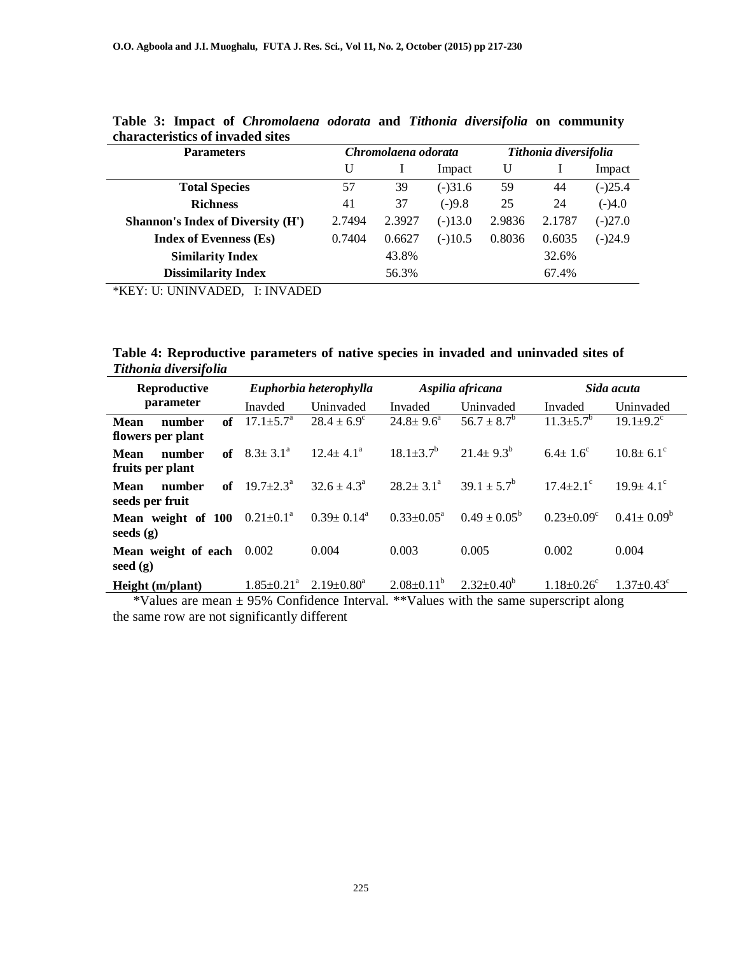| <b>Parameters</b>                        | Chromolaena odorata<br>Tithonia diversifolia |        |           |        |        |           |
|------------------------------------------|----------------------------------------------|--------|-----------|--------|--------|-----------|
|                                          | U                                            |        | Impact    | U      |        | Impact    |
| <b>Total Species</b>                     | 57                                           | 39     | $(-)31.6$ | 59     | 44     | $(-)25.4$ |
| <b>Richness</b>                          | 41                                           | 37     | $(-)9.8$  | 25     | 24     | $(-)4.0$  |
| <b>Shannon's Index of Diversity (H')</b> | 2.7494                                       | 2.3927 | $(-)13.0$ | 2.9836 | 2.1787 | $(-)27.0$ |
| <b>Index of Evenness (Es)</b>            | 0.7404                                       | 0.6627 | $(-)10.5$ | 0.8036 | 0.6035 | $(-)24.9$ |
| <b>Similarity Index</b>                  |                                              | 43.8%  |           |        | 32.6%  |           |
| <b>Dissimilarity Index</b>               |                                              | 56.3%  |           |        | 67.4%  |           |

**Table 3: Impact of** *Chromolaena odorata* **and** *Tithonia diversifolia* **on community characteristics of invaded sites** 

\*KEY: U: UNINVADED, I: INVADED

**Table 4: Reproductive parameters of native species in invaded and uninvaded sites of**  *Tithonia diversifolia*

| <b>Reproductive</b>                       |                              | Euphorbia heterophylla  |                            | Aspilia africana        |                           | Sida acuta                  |
|-------------------------------------------|------------------------------|-------------------------|----------------------------|-------------------------|---------------------------|-----------------------------|
| parameter                                 | Inavded                      | Uninvaded               | Invaded                    | Uninvaded               | Invaded                   | Uninvaded                   |
| of<br>Mean<br>number<br>flowers per plant | $17.1 \pm 5.7^{\circ}$       | $28.4 \pm 6.9^{\circ}$  | $24.8 \pm 9.6^{\circ}$     | $56.7 \pm 8.7^b$        | $11.3 \pm 5.7^b$          | $19.1 \pm 9.2$ <sup>c</sup> |
| number<br>of<br>Mean<br>fruits per plant  | $8.3 \pm 3.1^{\circ}$        | $12.4 + 4.1a$           | $18.1 \pm 3.7^b$           | $21.4 \pm 9.3^{b}$      | $6.4 + 1.6^{\circ}$       | $10.8 + 6.1^{\circ}$        |
| of<br>Mean<br>number<br>seeds per fruit   | $19.7 \pm 2.3^{\text{a}}$    | $32.6 + 4.3^a$          | $28.2 + 3.1^a$             | $39.1 \pm 5.7^b$        | $17.4 + 2.1$ <sup>c</sup> | $19.9 + 4.1$ <sup>c</sup>   |
| Mean weight of 100<br>seeds $(g)$         | $0.21 \pm 0.1^{\text{a}}$    | $0.39 \pm 0.14^{\circ}$ | $0.33 \pm 0.05^{\text{a}}$ | $0.49 \pm 0.05^{\rm b}$ | $0.23 + 0.09^{\circ}$     | $0.41 \pm 0.09^{\circ}$     |
| Mean weight of each<br>seed $(g)$         | 0.002                        | 0.004                   | 0.003                      | 0.005                   | 0.002                     | 0.004                       |
| Height (m/plant)                          | $1.85 \pm 0.21$ <sup>a</sup> | $2.19 + 0.80^a$         | $2.08 \pm 0.11^b$          | $2.32 \pm 0.40^{\circ}$ | $1.18 \pm 0.26^c$         | $1.37 \pm 0.43$             |

 \*Values are mean ± 95% Confidence Interval. \*\*Values with the same superscript along the same row are not significantly different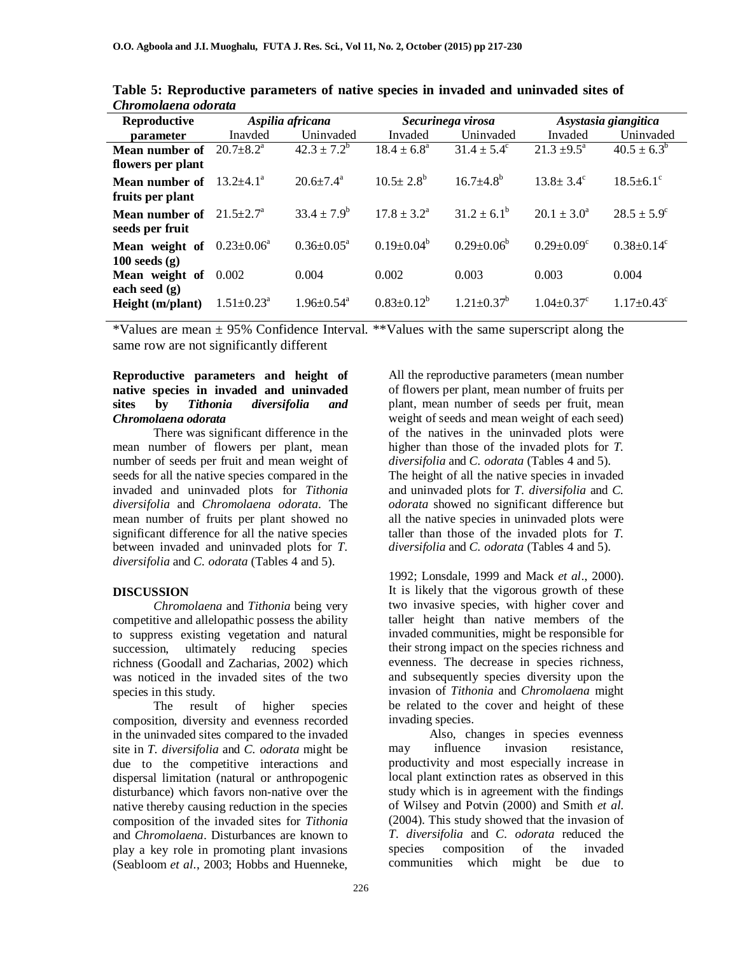| Reproductive                                 | Aspilia africana           |                        |                         | Securinega virosa       | Asystasia giangitica         |                             |  |
|----------------------------------------------|----------------------------|------------------------|-------------------------|-------------------------|------------------------------|-----------------------------|--|
| parameter                                    | Inavded                    | Uninvaded              | Invaded                 | Uninvaded               | Invaded                      | Uninvaded                   |  |
| Mean number of                               | $20.7 \pm 8.2^{\text{a}}$  | $42.3 \pm 7.2^b$       | $18.4 \pm 6.8^{\circ}$  | $31.4 \pm 5.4^{\circ}$  | $21.3 \pm 9.5^{\circ}$       | $40.5 \pm 6.3^{\circ}$      |  |
| flowers per plant                            |                            |                        |                         |                         |                              |                             |  |
| Mean number of                               | $13.2 + 4.1^{\circ}$       | $20.6 \pm 7.4^{\circ}$ | $10.5 \pm 2.8^{\circ}$  | $16.7 \pm 4.8^b$        | $13.8 \pm 3.4^{\circ}$       | $18.5 \pm 6.1$ <sup>c</sup> |  |
| fruits per plant                             |                            |                        |                         |                         |                              |                             |  |
| <b>Mean number of</b> $21.5 \pm 2.7^{\circ}$ |                            | $33.4 \pm 7.9^b$       | $17.8 + 3.2^a$          | $31.2 \pm 6.1^b$        | $20.1 + 3.0^a$               | $28.5 \pm 5.9^{\circ}$      |  |
| seeds per fruit                              |                            |                        |                         |                         |                              |                             |  |
| Mean weight of                               | $0.23 \pm 0.06^{\circ}$    | $0.36 + 0.05^a$        | $0.19 \pm 0.04^{\circ}$ | $0.29 \pm 0.06^{\circ}$ | $0.29 \pm 0.09$ <sup>c</sup> | $0.38 \pm 0.14^c$           |  |
| $100$ seeds $(g)$                            |                            |                        |                         |                         |                              |                             |  |
| Mean weight of                               | 0.002                      | 0.004                  | 0.002                   | 0.003                   | 0.003                        | 0.004                       |  |
| each seed $(g)$                              |                            |                        |                         |                         |                              |                             |  |
| Height (m/plant)                             | $1.51 \pm 0.23^{\text{a}}$ | $1.96 + 0.54^a$        | $0.83 \pm 0.12^b$       | $1.21 + 0.37^b$         | $1.04 + 0.37^{\circ}$        | $1.17 + 0.43^{\circ}$       |  |

**Table 5: Reproductive parameters of native species in invaded and uninvaded sites of**  *Chromolaena odorata*

\*Values are mean  $\pm$  95% Confidence Interval. \*\*Values with the same superscript along the same row are not significantly different

### **Reproductive parameters and height of native species in invaded and uninvaded sites by** *Tithonia diversifolia and Chromolaena odorata*

There was significant difference in the mean number of flowers per plant, mean number of seeds per fruit and mean weight of seeds for all the native species compared in the invaded and uninvaded plots for *Tithonia diversifolia* and *Chromolaena odorata*. The mean number of fruits per plant showed no significant difference for all the native species between invaded and uninvaded plots for *T. diversifolia* and *C. odorata* (Tables 4 and 5).

#### **DISCUSSION**

*Chromolaena* and *Tithonia* being very competitive and allelopathic possess the ability to suppress existing vegetation and natural succession, ultimately reducing species richness (Goodall and Zacharias, 2002) which was noticed in the invaded sites of the two species in this study.

The result of higher species composition, diversity and evenness recorded in the uninvaded sites compared to the invaded site in *T. diversifolia* and *C. odorata* might be due to the competitive interactions and dispersal limitation (natural or anthropogenic disturbance) which favors non-native over the native thereby causing reduction in the species composition of the invaded sites for *Tithonia*  and *Chromolaena*. Disturbances are known to play a key role in promoting plant invasions (Seabloom *et al*., 2003; Hobbs and Huenneke,

All the reproductive parameters (mean number of flowers per plant, mean number of fruits per plant, mean number of seeds per fruit, mean weight of seeds and mean weight of each seed) of the natives in the uninvaded plots were higher than those of the invaded plots for *T. diversifolia* and *C. odorata* (Tables 4 and 5). The height of all the native species in invaded and uninvaded plots for *T. diversifolia* and *C. odorata* showed no significant difference but all the native species in uninvaded plots were taller than those of the invaded plots for *T. diversifolia* and *C. odorata* (Tables 4 and 5).

1992; Lonsdale, 1999 and Mack *et al*., 2000). It is likely that the vigorous growth of these two invasive species, with higher cover and taller height than native members of the invaded communities, might be responsible for their strong impact on the species richness and evenness. The decrease in species richness, and subsequently species diversity upon the invasion of *Tithonia* and *Chromolaena* might be related to the cover and height of these invading species.

Also, changes in species evenness may influence invasion resistance, productivity and most especially increase in local plant extinction rates as observed in this study which is in agreement with the findings of Wilsey and Potvin (2000) and Smith *et al.* (2004). This study showed that the invasion of *T. diversifolia* and *C. odorata* reduced the species composition of the invaded communities which might be due to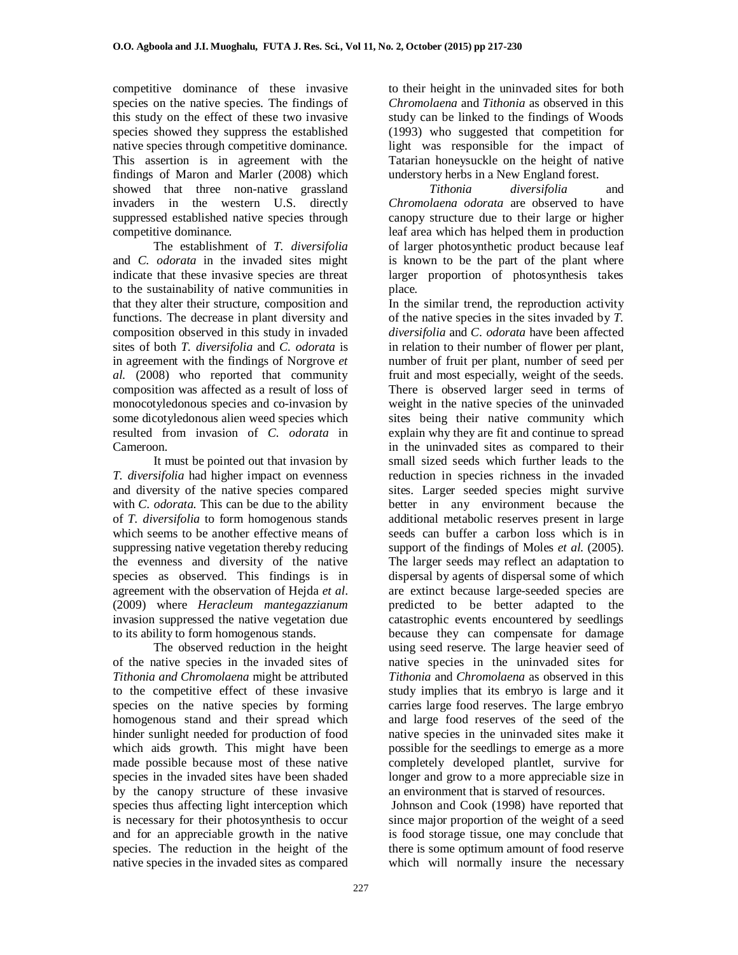competitive dominance of these invasive species on the native species. The findings of this study on the effect of these two invasive species showed they suppress the established native species through competitive dominance. This assertion is in agreement with the findings of Maron and Marler (2008) which showed that three non-native grassland invaders in the western U.S. directly suppressed established native species through competitive dominance.

The establishment of *T. diversifolia*  and *C. odorata* in the invaded sites might indicate that these invasive species are threat to the sustainability of native communities in that they alter their structure, composition and functions. The decrease in plant diversity and composition observed in this study in invaded sites of both *T. diversifolia* and *C. odorata* is in agreement with the findings of Norgrove *et al.* (2008) who reported that community composition was affected as a result of loss of monocotyledonous species and co-invasion by some dicotyledonous alien weed species which resulted from invasion of *C. odorata* in Cameroon.

It must be pointed out that invasion by *T. diversifolia* had higher impact on evenness and diversity of the native species compared with *C. odorata*. This can be due to the ability of *T. diversifolia* to form homogenous stands which seems to be another effective means of suppressing native vegetation thereby reducing the evenness and diversity of the native species as observed. This findings is in agreement with the observation of Hejda *et al*. (2009) where *Heracleum mantegazzianum* invasion suppressed the native vegetation due to its ability to form homogenous stands.

The observed reduction in the height of the native species in the invaded sites of *Tithonia and Chromolaena* might be attributed to the competitive effect of these invasive species on the native species by forming homogenous stand and their spread which hinder sunlight needed for production of food which aids growth. This might have been made possible because most of these native species in the invaded sites have been shaded by the canopy structure of these invasive species thus affecting light interception which is necessary for their photosynthesis to occur and for an appreciable growth in the native species. The reduction in the height of the native species in the invaded sites as compared

to their height in the uninvaded sites for both *Chromolaena* and *Tithonia* as observed in this study can be linked to the findings of Woods (1993) who suggested that competition for light was responsible for the impact of Tatarian honeysuckle on the height of native understory herbs in a New England forest.<br>Tithonia diversifolia

*diversifolia* and *Chromolaena odorata* are observed to have canopy structure due to their large or higher leaf area which has helped them in production of larger photosynthetic product because leaf is known to be the part of the plant where larger proportion of photosynthesis takes place.

In the similar trend, the reproduction activity of the native species in the sites invaded by *T. diversifolia* and *C*. *odorata* have been affected in relation to their number of flower per plant, number of fruit per plant, number of seed per fruit and most especially, weight of the seeds. There is observed larger seed in terms of weight in the native species of the uninvaded sites being their native community which explain why they are fit and continue to spread in the uninvaded sites as compared to their small sized seeds which further leads to the reduction in species richness in the invaded sites. Larger seeded species might survive better in any environment because the additional metabolic reserves present in large seeds can buffer a carbon loss which is in support of the findings of Moles *et al.* (2005). The larger seeds may reflect an adaptation to dispersal by agents of dispersal some of which are extinct because large-seeded species are predicted to be better adapted to the catastrophic events encountered by seedlings because they can compensate for damage using seed reserve. The large heavier seed of native species in the uninvaded sites for *Tithonia* and *Chromolaena* as observed in this study implies that its embryo is large and it carries large food reserves. The large embryo and large food reserves of the seed of the native species in the uninvaded sites make it possible for the seedlings to emerge as a more completely developed plantlet, survive for longer and grow to a more appreciable size in an environment that is starved of resources.

 Johnson and Cook (1998) have reported that since major proportion of the weight of a seed is food storage tissue, one may conclude that there is some optimum amount of food reserve which will normally insure the necessary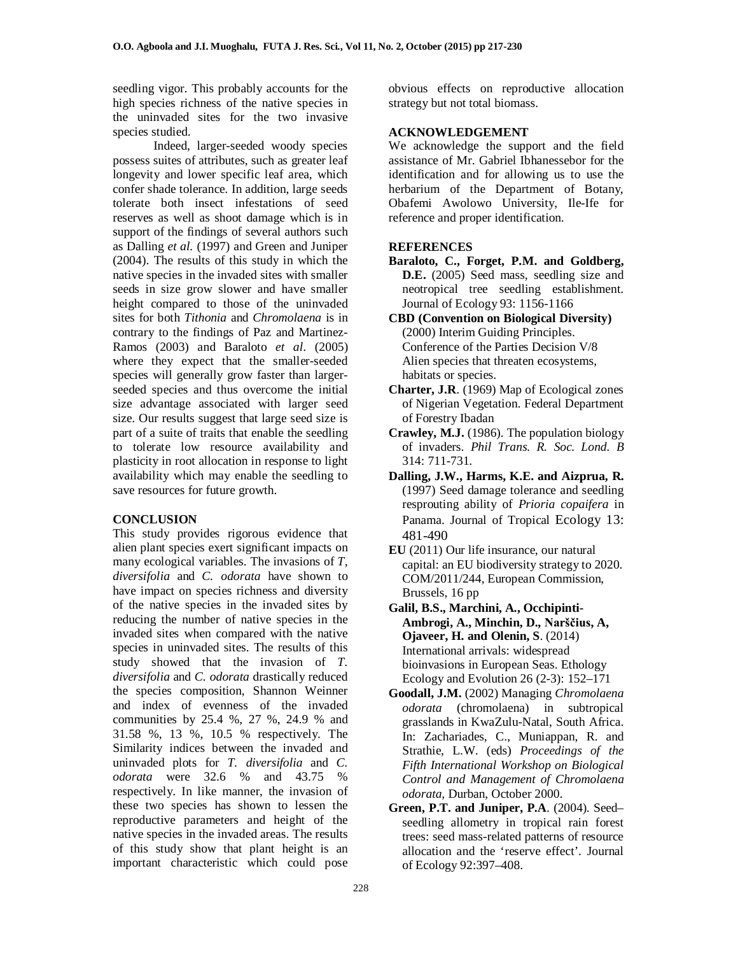seedling vigor. This probably accounts for the high species richness of the native species in the uninvaded sites for the two invasive species studied.

Indeed, larger-seeded woody species possess suites of attributes, such as greater leaf longevity and lower specific leaf area, which confer shade tolerance. In addition, large seeds tolerate both insect infestations of seed reserves as well as shoot damage which is in support of the findings of several authors such as Dalling *et al.* (1997) and Green and Juniper (2004). The results of this study in which the native species in the invaded sites with smaller seeds in size grow slower and have smaller height compared to those of the uninvaded sites for both *Tithonia* and *Chromolaena* is in contrary to the findings of Paz and Martinez-Ramos (2003) and Baraloto *et al*. (2005) where they expect that the smaller-seeded species will generally grow faster than largerseeded species and thus overcome the initial size advantage associated with larger seed size. Our results suggest that large seed size is part of a suite of traits that enable the seedling to tolerate low resource availability and plasticity in root allocation in response to light availability which may enable the seedling to save resources for future growth.

# **CONCLUSION**

This study provides rigorous evidence that alien plant species exert significant impacts on many ecological variables. The invasions of *T, diversifolia* and *C. odorata* have shown to have impact on species richness and diversity of the native species in the invaded sites by reducing the number of native species in the invaded sites when compared with the native species in uninvaded sites. The results of this study showed that the invasion of *T. diversifolia* and *C. odorata* drastically reduced the species composition, Shannon Weinner and index of evenness of the invaded communities by 25.4 %, 27 %, 24.9 % and 31.58 %, 13 %, 10.5 % respectively. The Similarity indices between the invaded and uninvaded plots for *T. diversifolia* and *C. odorata* were 32.6 % and 43.75 % respectively. In like manner, the invasion of these two species has shown to lessen the reproductive parameters and height of the native species in the invaded areas. The results of this study show that plant height is an important characteristic which could pose

obvious effects on reproductive allocation strategy but not total biomass.

## **ACKNOWLEDGEMENT**

We acknowledge the support and the field assistance of Mr. Gabriel Ibhanessebor for the identification and for allowing us to use the herbarium of the Department of Botany, Obafemi Awolowo University, Ile-Ife for reference and proper identification.

# **REFERENCES**

- **Baraloto, C., Forget, P.M. and Goldberg, D.E.** (2005) Seed mass, seedling size and neotropical tree seedling establishment. Journal of Ecology 93: 1156-1166
- **CBD (Convention on Biological Diversity)** (2000) Interim Guiding Principles. Conference of the Parties Decision V/8 Alien species that threaten ecosystems, habitats or species.
- **Charter, J.R**. (1969) Map of Ecological zones of Nigerian Vegetation. Federal Department of Forestry Ibadan
- **Crawley, M.J.** (1986). The population biology of invaders. *Phil Trans. R. Soc. Lond. B* 314: 711-731.
- **Dalling, J.W., Harms, K.E. and Aizprua, R.** (1997) Seed damage tolerance and seedling resprouting ability of *Prioria copaifera* in Panama. Journal of Tropical Ecology 13: 481-490
- **EU** (2011) Our life insurance, our natural capital: an EU biodiversity strategy to 2020. COM/2011/244, European Commission, Brussels, 16 pp
- **Galil, B.S., Marchini, A., Occhipinti-Ambrogi, A., Minchin, D., Narščius, A, Ojaveer, H. and Olenin, S**. (2014) International arrivals: widespread bioinvasions in European Seas. Ethology Ecology and Evolution 26 (2-3): 152–171
- **Goodall, J.M.** (2002) Managing *Chromolaena odorata* (chromolaena) in subtropical grasslands in KwaZulu-Natal, South Africa. In: Zachariades, C., Muniappan, R. and Strathie, L.W. (eds) *Proceedings of the Fifth International Workshop on Biological Control and Management of Chromolaena odorata,* Durban, October 2000.
- **Green, P.T. and Juniper, P.A**. (2004). Seed– seedling allometry in tropical rain forest trees: seed mass-related patterns of resource allocation and the 'reserve effect'. Journal of Ecology 92:397–408.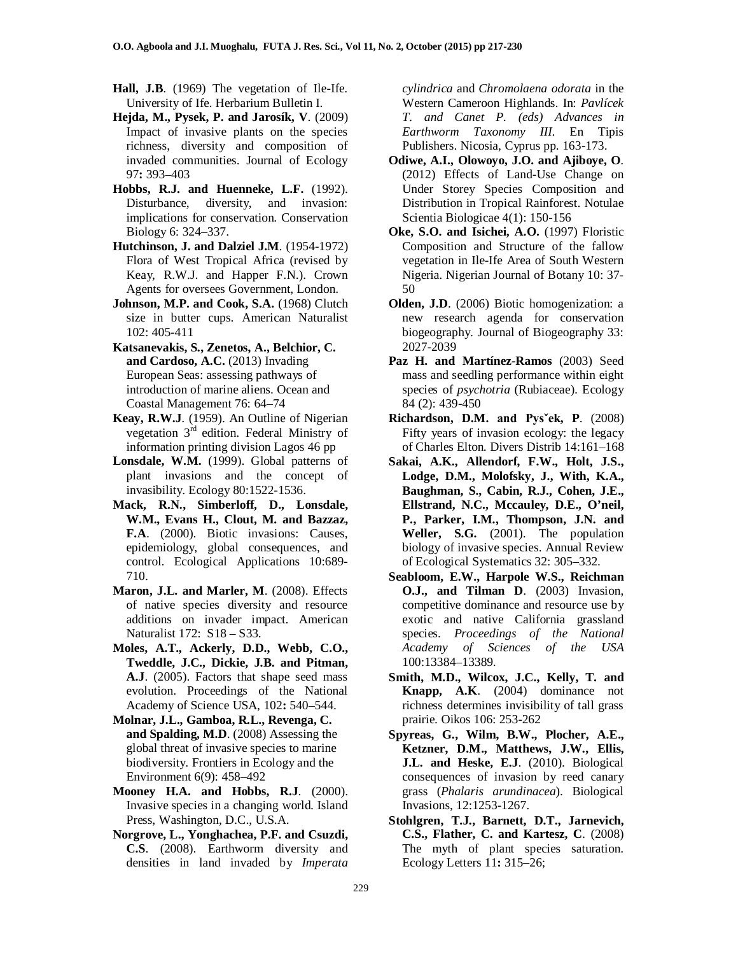- **Hall, J.B**. (1969) The vegetation of Ile-Ife. University of Ife. Herbarium Bulletin I.
- **Hejda, M., Pysek, P. and Jarosík, V**. (2009) Impact of invasive plants on the species richness, diversity and composition of invaded communities. Journal of Ecology 97**:** 393–403
- **Hobbs, R.J. and Huenneke, L.F.** (1992). Disturbance, diversity, and invasion: implications for conservation. Conservation Biology 6: 324–337.
- **Hutchinson, J. and Dalziel J.M**. (1954-1972) Flora of West Tropical Africa (revised by Keay, R.W.J. and Happer F.N.). Crown Agents for oversees Government, London.
- **Johnson, M.P. and Cook, S.A.** (1968) Clutch size in butter cups. American Naturalist 102: 405-411
- **Katsanevakis, S., Zenetos, A., Belchior, C. and Cardoso, A.C.** (2013) Invading European Seas: assessing pathways of introduction of marine aliens. Ocean and Coastal Management 76: 64–74
- **Keay, R.W.J**. (1959). An Outline of Nigerian vegetation 3rd edition. Federal Ministry of information printing division Lagos 46 pp
- **Lonsdale, W.M.** (1999). Global patterns of plant invasions and the concept of invasibility. Ecology 80:1522-1536.
- **Mack, R.N., Simberloff, D., Lonsdale, W.M., Evans H., Clout, M. and Bazzaz, F.A**. (2000). Biotic invasions: Causes, epidemiology, global consequences, and control. Ecological Applications 10:689- 710.
- **Maron, J.L. and Marler, M**. (2008). Effects of native species diversity and resource additions on invader impact. American Naturalist 172: S18 – S33.
- **Moles, A.T., Ackerly, D.D., Webb, C.O., Tweddle, J.C., Dickie, J.B. and Pitman, A.J**. (2005). Factors that shape seed mass evolution. Proceedings of the National Academy of Science USA, 102**:** 540–544.
- **Molnar, J.L., Gamboa, R.L., Revenga, C. and Spalding, M.D**. (2008) Assessing the global threat of invasive species to marine biodiversity. Frontiers in Ecology and the Environment 6(9): 458–492
- **Mooney H.A. and Hobbs, R.J**. (2000). Invasive species in a changing world. Island Press, Washington, D.C., U.S.A.
- **Norgrove, L., Yonghachea, P.F. and Csuzdi, C.S**. (2008). Earthworm diversity and densities in land invaded by *Imperata*

*cylindrica* and *Chromolaena odorata* in the Western Cameroon Highlands. In: *Pavlícek T. and Canet P. (eds) Advances in Earthworm Taxonomy III*. En Tipis Publishers. Nicosia, Cyprus pp. 163-173.

- **Odiwe, A.I., Olowoyo, J.O. and Ajiboye, O**. (2012) Effects of Land-Use Change on Under Storey Species Composition and Distribution in Tropical Rainforest. Notulae Scientia Biologicae 4(1): 150-156
- **Oke, S.O. and Isichei, A.O.** (1997) Floristic Composition and Structure of the fallow vegetation in Ile-Ife Area of South Western Nigeria. Nigerian Journal of Botany 10: 37- 50
- **Olden, J.D**. (2006) Biotic homogenization: a new research agenda for conservation biogeography. Journal of Biogeography 33: 2027-2039
- **Paz H. and Martínez-Ramos** (2003) Seed mass and seedling performance within eight species of *psychotria* (Rubiaceae). Ecology 84 (2): 439-450
- **Richardson, D.M. and Pysˇek, P**. (2008) Fifty years of invasion ecology: the legacy of Charles Elton. Divers Distrib 14:161–168
- **Sakai, A.K., Allendorf, F.W., Holt, J.S., Lodge, D.M., Molofsky, J., With, K.A., Baughman, S., Cabin, R.J., Cohen, J.E., Ellstrand, N.C., Mccauley, D.E., O'neil, P., Parker, I.M., Thompson, J.N. and Weller, S.G.** (2001). The population biology of invasive species. Annual Review of Ecological Systematics 32: 305–332.
- **Seabloom, E.W., Harpole W.S., Reichman O.J., and Tilman D**. (2003) Invasion, competitive dominance and resource use by exotic and native California grassland species. *Proceedings of the National Academy of Sciences of the USA* 100:13384–13389.
- **Smith, M.D., Wilcox, J.C., Kelly, T. and Knapp, A.K**. (2004) dominance not richness determines invisibility of tall grass prairie. Oikos 106: 253-262
- **Spyreas, G., Wilm, B.W., Plocher, A.E., Ketzner, D.M., Matthews, J.W., Ellis, J.L. and Heske, E.J**. (2010). Biological consequences of invasion by reed canary grass (*Phalaris arundinacea*). Biological Invasions, 12:1253-1267.
- **Stohlgren, T.J., Barnett, D.T., Jarnevich, C.S., Flather, C. and Kartesz, C**. (2008) The myth of plant species saturation. Ecology Letters 11**:** 315–26;